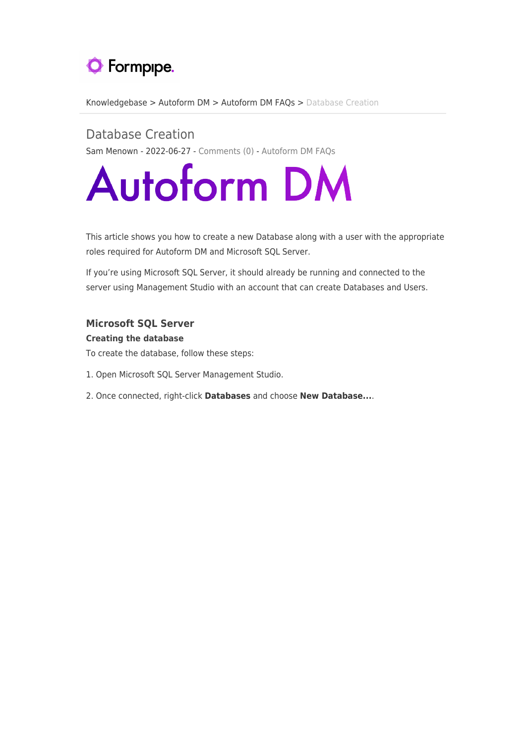

[Knowledgebase](https://support.formpipe.com/kb) > [Autoform DM](https://support.formpipe.com/kb/autoform-dm-2) > [Autoform DM FAQs](https://support.formpipe.com/kb/autoform-dm-faqs) > [Database Creation](https://support.formpipe.com/kb/articles/database-creation)

Database Creation Sam Menown - 2022-06-27 - [Comments \(0\)](#page--1-0) - [Autoform DM FAQs](https://support.formpipe.com/kb/autoform-dm-faqs)

# **Autoform DM**

This article shows you how to create a new Database along with a user with the appropriate roles required for Autoform DM and Microsoft SQL Server.

If you're using Microsoft SQL Server, it should already be running and connected to the server using Management Studio with an account that can create Databases and Users.

# **Microsoft SQL Server**

# **Creating the database**

- To create the database, follow these steps:
- 1. Open Microsoft SQL Server Management Studio.
- 2. Once connected, right-click **Databases** and choose **New Database...**.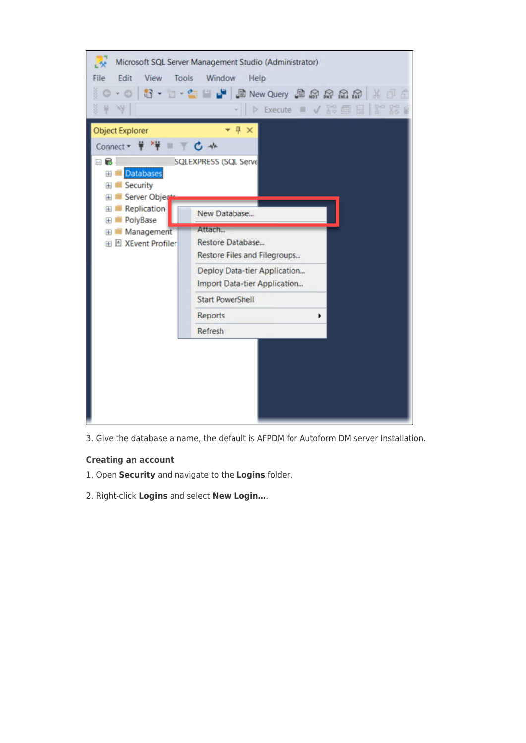

3. Give the database a name, the default is AFPDM for Autoform DM server Installation.

#### **Creating an account**

- 1. Open **Security** and navigate to the **Logins** folder.
- 2. Right-click **Logins** and select **New Login…**.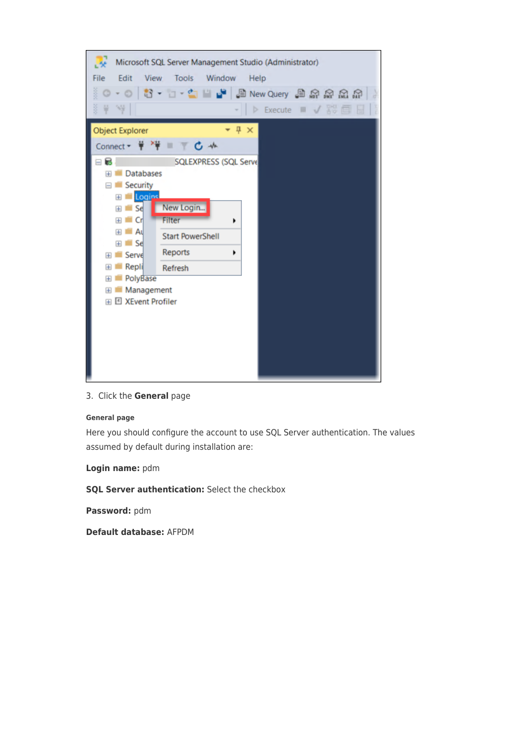

3. Click the **General** page

#### **General page**

Here you should configure the account to use SQL Server authentication. The values assumed by default during installation are:

**Login name:** pdm

**SQL Server authentication:** Select the checkbox

**Password:** pdm

**Default database:** AFPDM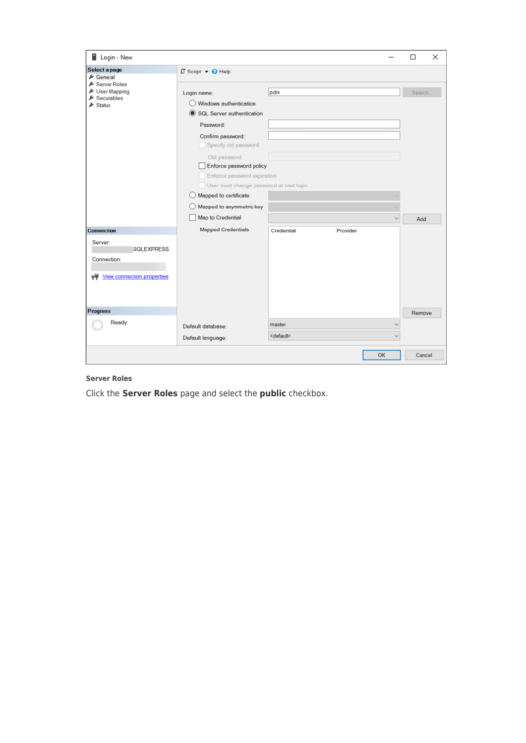| Login - New                                                                                     |                                                                                                                                                                                                                                                                                                                                            |                               |          |                              | $\Box$         | X |  |
|-------------------------------------------------------------------------------------------------|--------------------------------------------------------------------------------------------------------------------------------------------------------------------------------------------------------------------------------------------------------------------------------------------------------------------------------------------|-------------------------------|----------|------------------------------|----------------|---|--|
| Select a page<br>$E$ General                                                                    | $\square$ Script $\blacktriangleright$ $\bigodot$ Help                                                                                                                                                                                                                                                                                     |                               |          |                              |                |   |  |
| Server Roles<br><b>ይ</b> User Mapping<br>$\blacktriangleright$ Securables<br>$\triangle$ Status | Login name:<br>Windows authentication<br><b>SQL Server authentication</b><br>Password:<br>Confirm password:<br>Specify old password<br>Old password:<br>Enforce password policy<br>Enforce password expiration<br>User must change password at next login<br>Mapped to certificate<br>Mapped to asymmetric key<br><b>Map to Credential</b> | pdm                           |          | $\checkmark$                 | Search.<br>Add |   |  |
| <b>Connection</b>                                                                               | <b>Mapped Credentials</b>                                                                                                                                                                                                                                                                                                                  | Credential                    | Provider |                              |                |   |  |
| Server:<br><b>SQLEXPRESS</b><br>Connection:<br><b>View connection properties</b>                |                                                                                                                                                                                                                                                                                                                                            |                               |          |                              |                |   |  |
| <b>Progress</b>                                                                                 |                                                                                                                                                                                                                                                                                                                                            |                               |          |                              | Remove         |   |  |
| Ready                                                                                           | Default database:<br>Default language:                                                                                                                                                                                                                                                                                                     | master<br><default></default> |          | $\checkmark$<br>$\checkmark$ |                |   |  |
|                                                                                                 |                                                                                                                                                                                                                                                                                                                                            |                               |          | OK                           | Cancel         |   |  |

# **Server Roles**

Click the **Server Roles** page and select the **public** checkbox.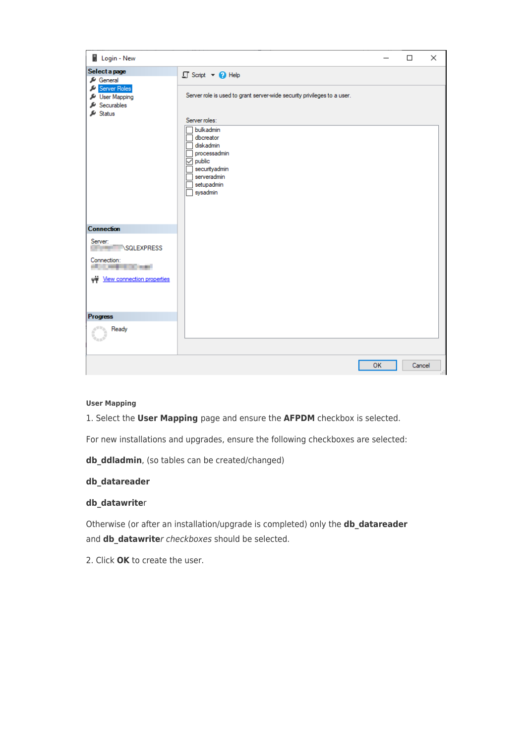| Login - New                                                                                          |                                                                                                                                |           | $\Box$ | $\times$ |
|------------------------------------------------------------------------------------------------------|--------------------------------------------------------------------------------------------------------------------------------|-----------|--------|----------|
| Select a page<br>General                                                                             | $\Box$ Script $\rightarrow$ $\bigodot$ Help                                                                                    |           |        |          |
| Server Roles<br>User Mapping<br>Securables<br>$\mathcal{L}$ Status                                   | Server role is used to grant server-wide security privileges to a user.<br>Server roles:                                       |           |        |          |
|                                                                                                      | bulkadmin<br>dbcreator<br>diskadmin<br>processadmin<br>$\vee$ public<br>securityadmin<br>serveradmin<br>setupadmin<br>sysadmin |           |        |          |
| <b>Connection</b>                                                                                    |                                                                                                                                |           |        |          |
| Server:<br><b>SQLEXPRESS</b><br>Connection:<br><b>CARD COMMIT</b><br>with View connection properties |                                                                                                                                |           |        |          |
| <b>Progress</b>                                                                                      |                                                                                                                                |           |        |          |
| Ready                                                                                                |                                                                                                                                |           |        |          |
|                                                                                                      |                                                                                                                                | <b>OK</b> | Cancel |          |

#### **User Mapping**

1. Select the **User Mapping** page and ensure the **AFPDM** checkbox is selected.

For new installations and upgrades, ensure the following checkboxes are selected:

**db\_ddladmin**, (so tables can be created/changed)

# **db\_datareader**

#### **db\_datawrite**r

Otherwise (or after an installation/upgrade is completed) only the **db\_datareader** and **db\_datawrite**r checkboxes should be selected.

2. Click **OK** to create the user.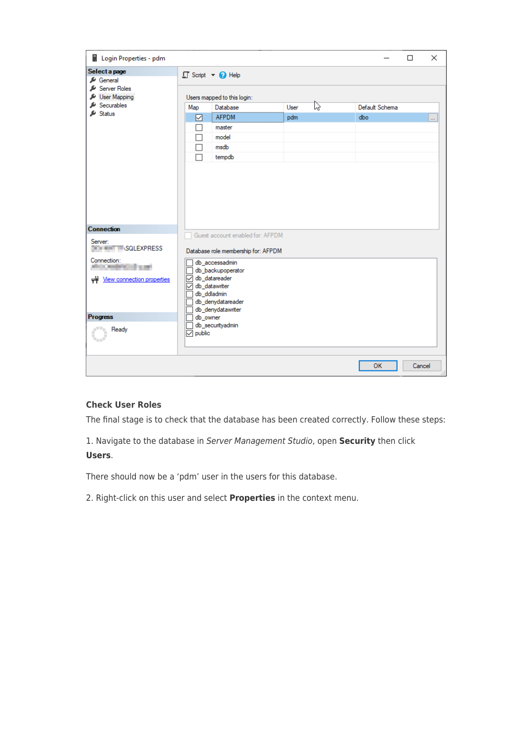| Login Properties - pdm                                                                                    |                               |                                                                                                                                                      |             |   |                       | $\Box$ | $\times$ |
|-----------------------------------------------------------------------------------------------------------|-------------------------------|------------------------------------------------------------------------------------------------------------------------------------------------------|-------------|---|-----------------------|--------|----------|
| Select a page<br>General                                                                                  |                               | $\Box$ Script $\blacktriangleright$ $\Box$ Help                                                                                                      |             |   |                       |        |          |
| Server Roles<br>User Mapping<br>Securables<br>$\mathcal{L}$ Status                                        | Map<br>☑                      | Users mapped to this login:<br>Database<br><b>AFPDM</b><br>master<br>model<br>msdb<br>tempdb                                                         | User<br>pdm | ß | Default Schema<br>dbo |        | .        |
| <b>Connection</b><br>Server:                                                                              |                               | Guest account enabled for: AFPDM                                                                                                                     |             |   |                       |        |          |
| <b>THE SQLEXPRESS</b><br>Connection:<br>. .<br>. .<br><b>STATISTICS</b><br>m<br>www.connection.properties | $\checkmark$<br>db_datawriter | Database role membership for: AFPDM<br>db_accessadmin<br>db_backupoperator<br>db datareader<br>db_ddladmin<br>db denydatareader<br>db_denydatawriter |             |   |                       |        |          |
| <b>Progress</b><br>Ready                                                                                  | db_owner<br>$\sqrt{}$ public  | db_securityadmin                                                                                                                                     |             |   |                       |        |          |
|                                                                                                           |                               |                                                                                                                                                      |             |   | <b>OK</b>             | Cancel |          |

# **Check User Roles**

The final stage is to check that the database has been created correctly. Follow these steps:

1. Navigate to the database in Server Management Studio, open **Security** then click **Users**.

There should now be a 'pdm' user in the users for this database.

2. Right-click on this user and select **Properties** in the context menu.